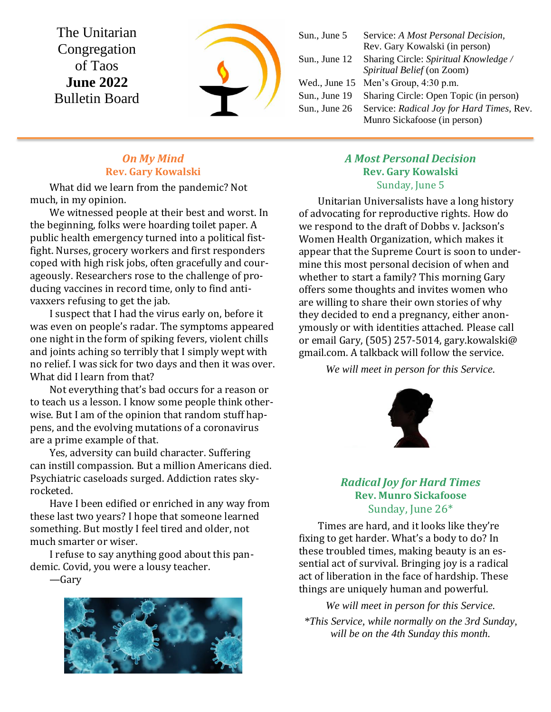The Unitarian Congregation of Taos **June 2022** Bulletin Board



| Sun., June 5  | Service: A Most Personal Decision,        |
|---------------|-------------------------------------------|
|               | Rev. Gary Kowalski (in person)            |
| Sun., June 12 | Sharing Circle: Spiritual Knowledge /     |
|               | Spiritual Belief (on Zoom)                |
|               | Wed., June $15$ Men's Group, $4:30$ p.m.  |
| Sun., June 19 | Sharing Circle: Open Topic (in person)    |
| Sun., June 26 | Service: Radical Joy for Hard Times, Rev. |
|               | Munro Sickafoose (in person)              |
|               |                                           |

#### *On My Mind* **Rev. Gary Kowalski**

What did we learn from the pandemic? Not much, in my opinion.

We witnessed people at their best and worst. In the beginning, folks were hoarding toilet paper. A public health emergency turned into a political fistfight. Nurses, grocery workers and first responders coped with high risk jobs, often gracefully and courageously. Researchers rose to the challenge of producing vaccines in record time, only to find antivaxxers refusing to get the jab.

I suspect that I had the virus early on, before it was even on people's radar. The symptoms appeared one night in the form of spiking fevers, violent chills and joints aching so terribly that I simply wept with no relief. I was sick for two days and then it was over. What did I learn from that?

Not everything that's bad occurs for a reason or to teach us a lesson. I know some people think otherwise. But I am of the opinion that random stuff happens, and the evolving mutations of a coronavirus are a prime example of that.

Yes, adversity can build character. Suffering can instill compassion. But a million Americans died. Psychiatric caseloads surged. Addiction rates skyrocketed.

Have I been edified or enriched in any way from these last two years? I hope that someone learned something. But mostly I feel tired and older, not much smarter or wiser.

I refuse to say anything good about this pandemic. Covid, you were a lousy teacher.

—Gary



#### *A Most Personal Decision* **Rev. Gary Kowalski** Sunday, June 5

Unitarian Universalists have a long history of advocating for reproductive rights. How do we respond to the draft of Dobbs v. Jackson's Women Health Organization, which makes it appear that the Supreme Court is soon to undermine this most personal decision of when and whether to start a family? This morning Gary offers some thoughts and invites women who are willing to share their own stories of why they decided to end a pregnancy, either anonymously or with identities attached. Please call or email Gary, (505) 257-5014, gary.kowalski@ gmail.com. A talkback will follow the service.

*We will meet in person for this Service.*



## *Radical Joy for Hard Times* **Rev. Munro Sickafoose** Sunday, June 26\*

Times are hard, and it looks like they're fixing to get harder. What's a body to do? In these troubled times, making beauty is an essential act of survival. Bringing joy is a radical act of liberation in the face of hardship. These things are uniquely human and powerful.

*We will meet in person for this Service. \*This Service, while normally on the 3rd Sunday, will be on the 4th Sunday this month.*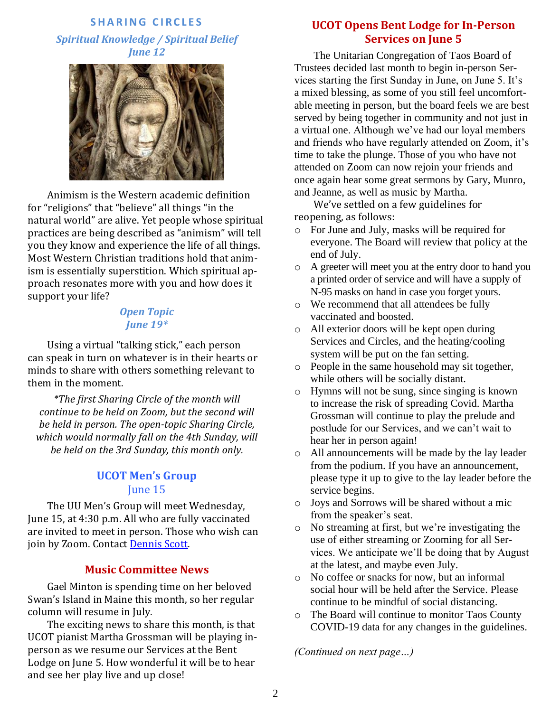#### **S H A R I N G C I R C L E S**

*Spiritual Knowledge / Spiritual Belief June 12*



Animism is the Western academic definition for "religions" that "believe" all things "in the natural world" are alive. Yet people whose spiritual practices are being described as "animism" will tell you they know and experience the life of all things. Most Western Christian traditions hold that animism is essentially superstition. Which spiritual approach resonates more with you and how does it support your life?

#### *Open Topic June 19\**

Using a virtual "talking stick," each person can speak in turn on whatever is in their hearts or minds to share with others something relevant to them in the moment.

*\*The first Sharing Circle of the month will continue to be held on Zoom, but the second will be held in person. The open-topic Sharing Circle, which would normally fall on the 4th Sunday, will be held on the 3rd Sunday, this month only.*

### **UCOT Men's Group** June 15

The UU Men's Group will meet Wednesday, June 15, at 4:30 p.m. All who are fully vaccinated are invited to meet in person. Those who wish can join by Zoom. Contact [Dennis Scott.](mailto:bridge4fun@mac.com)

#### **Music Committee News**

Gael Minton is spending time on her beloved Swan's Island in Maine this month, so her regular column will resume in July.

The exciting news to share this month, is that UCOT pianist Martha Grossman will be playing inperson as we resume our Services at the Bent Lodge on June 5. How wonderful it will be to hear and see her play live and up close!

## **UCOT Opens Bent Lodge for In-Person Services on June 5**

The Unitarian Congregation of Taos Board of Trustees decided last month to begin in-person Services starting the first Sunday in June, on June 5. It's a mixed blessing, as some of you still feel uncomfortable meeting in person, but the board feels we are best served by being together in community and not just in a virtual one. Although we've had our loyal members and friends who have regularly attended on Zoom, it's time to take the plunge. Those of you who have not attended on Zoom can now rejoin your friends and once again hear some great sermons by Gary, Munro, and Jeanne, as well as music by Martha.

We've settled on a few guidelines for reopening, as follows:

- o For June and July, masks will be required for everyone. The Board will review that policy at the end of July.
- o A greeter will meet you at the entry door to hand you a printed order of service and will have a supply of N-95 masks on hand in case you forget yours.
- o We recommend that all attendees be fully vaccinated and boosted.
- o All exterior doors will be kept open during Services and Circles, and the heating/cooling system will be put on the fan setting.
- o People in the same household may sit together, while others will be socially distant.
- o Hymns will not be sung, since singing is known to increase the risk of spreading Covid. Martha Grossman will continue to play the prelude and postlude for our Services, and we can't wait to hear her in person again!
- o All announcements will be made by the lay leader from the podium. If you have an announcement, please type it up to give to the lay leader before the service begins.
- o Joys and Sorrows will be shared without a mic from the speaker's seat.
- o No streaming at first, but we're investigating the use of either streaming or Zooming for all Services. We anticipate we'll be doing that by August at the latest, and maybe even July.
- o No coffee or snacks for now, but an informal social hour will be held after the Service. Please continue to be mindful of social distancing.
- o The Board will continue to monitor Taos County COVID-19 data for any changes in the guidelines.

*(Continued on next page…)*